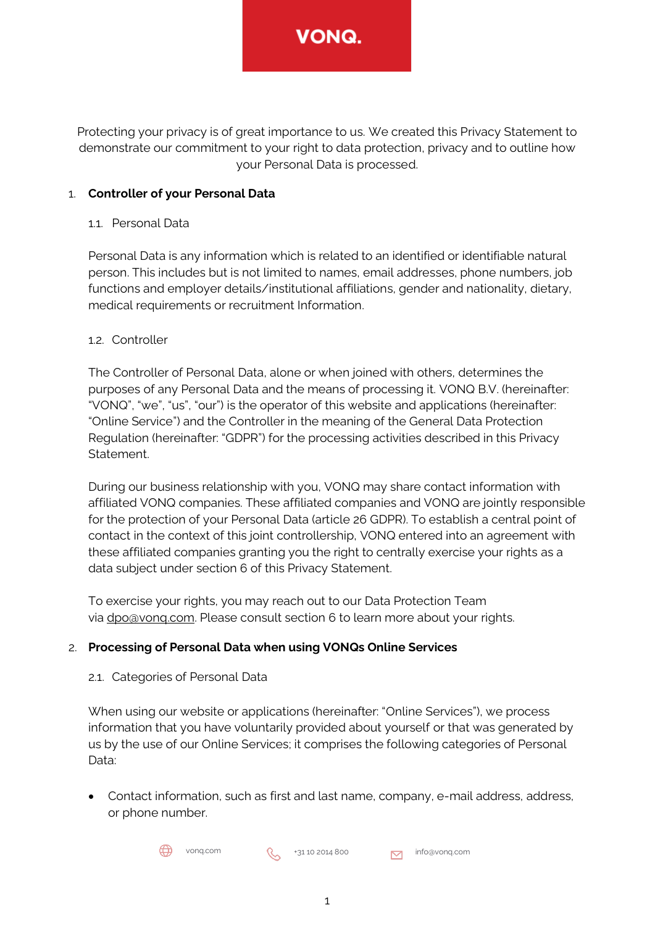Protecting your privacy is of great importance to us. We created this Privacy Statement to demonstrate our commitment to your right to data protection, privacy and to outline how your Personal Data is processed.

# 1. **Controller of your Personal Data**

### 11. Personal Data

Personal Data is any information which is related to an identified or identifiable natural person. This includes but is not limited to names, email addresses, phone numbers, job functions and employer details/institutional affiliations, gender and nationality, dietary, medical requirements or recruitment Information.

### 1.2. Controller

The Controller of Personal Data, alone or when joined with others, determines the purposes of any Personal Data and the means of processing it. VONQ B.V. (hereinafter: "VONQ", "we", "us", "our") is the operator of this website and applications (hereinafter: "Online Service") and the Controller in the meaning of the General Data Protection Regulation (hereinafter: "GDPR") for the processing activities described in this Privacy Statement.

During our business relationship with you, VONQ may share contact information with affiliated VONQ companies. These affiliated companies and VONQ are jointly responsible for the protection of your Personal Data (article 26 GDPR). To establish a central point of contact in the context of this joint controllership, VONQ entered into an agreement with these affiliated companies granting you the right to centrally exercise your rights as a data subject under section 6 of this Privacy Statement.

To exercise your rights, you may reach out to our Data Protection Team via [dpo@vonq.com.](mailto:dpo@vonq.com) Please consult section 6 to learn more about your rights.

# 2. **Processing of Personal Data when using VONQs Online Services**

### 2.1. Categories of Personal Data

When using our website or applications (hereinafter: "Online Services"), we process information that you have voluntarily provided about yourself or that was generated by us by the use of our Online Services; it comprises the following categories of Personal Data:

• Contact information, such as first and last name, company, e-mail address, address, or phone number.

 $\bigoplus$  vonq.com  $\bigotimes$  +31 10 2014 800  $\bigotimes$  info@vonq.com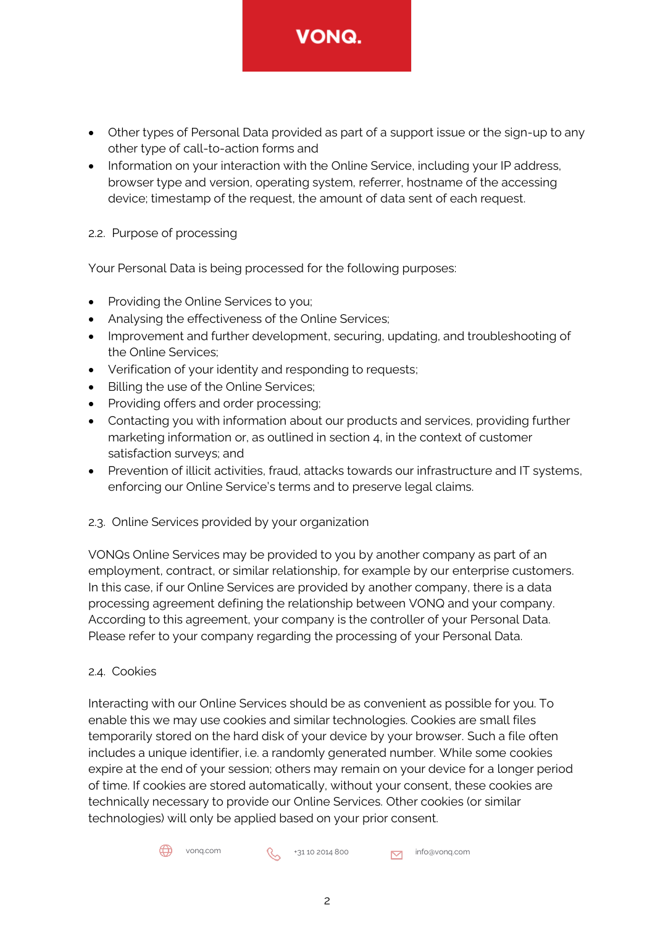• Other types of Personal Data provided as part of a support issue or the sign-up to any other type of call-to-action forms and

**VONQ.** 

• Information on your interaction with the Online Service, including your IP address, browser type and version, operating system, referrer, hostname of the accessing device; timestamp of the request, the amount of data sent of each request.

# 2.2. Purpose of processing

Your Personal Data is being processed for the following purposes:

- Providing the Online Services to you;
- Analysing the effectiveness of the Online Services;
- Improvement and further development, securing, updating, and troubleshooting of the Online Services;
- Verification of your identity and responding to requests;
- Billing the use of the Online Services;
- Providing offers and order processing;
- Contacting you with information about our products and services, providing further marketing information or, as outlined in section 4, in the context of customer satisfaction surveys; and
- Prevention of illicit activities, fraud, attacks towards our infrastructure and IT systems, enforcing our Online Service's terms and to preserve legal claims.
- 2.3. Online Services provided by your organization

VONQs Online Services may be provided to you by another company as part of an employment, contract, or similar relationship, for example by our enterprise customers. In this case, if our Online Services are provided by another company, there is a data processing agreement defining the relationship between VONQ and your company. According to this agreement, your company is the controller of your Personal Data. Please refer to your company regarding the processing of your Personal Data.

# 2.4. Cookies

Interacting with our Online Services should be as convenient as possible for you. To enable this we may use cookies and similar technologies. Cookies are small files temporarily stored on the hard disk of your device by your browser. Such a file often includes a unique identifier, i.e. a randomly generated number. While some cookies expire at the end of your session; others may remain on your device for a longer period of time. If cookies are stored automatically, without your consent, these cookies are technically necessary to provide our Online Services. Other cookies (or similar technologies) will only be applied based on your prior consent.

 $\bigoplus$  vonq.com  $\bigotimes$  +31 10 2014 800  $\bigotimes$  info@vonq.com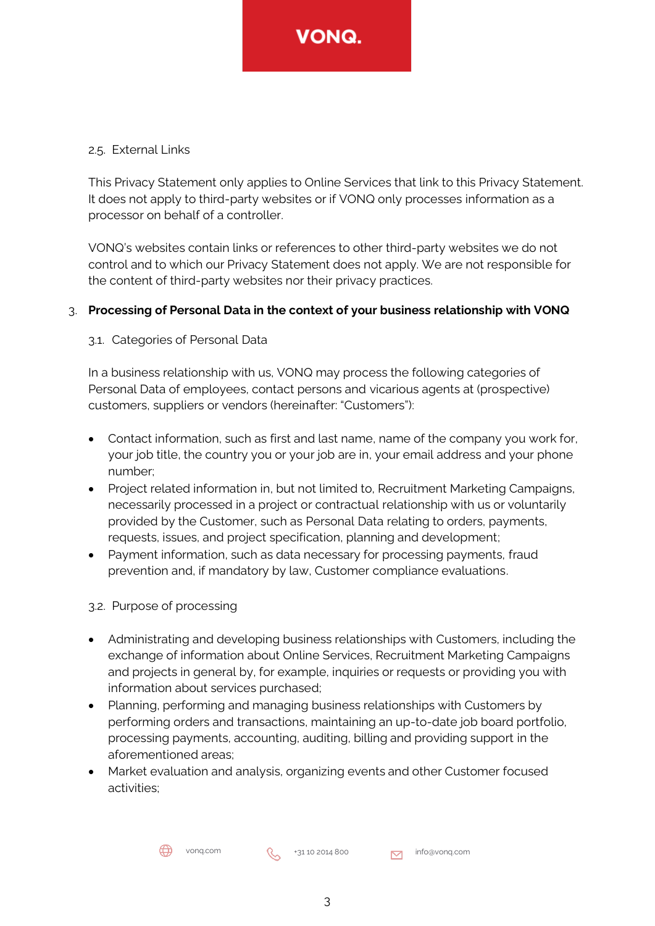### 2.5. External Links

This Privacy Statement only applies to Online Services that link to this Privacy Statement. It does not apply to third-party websites or if VONQ only processes information as a processor on behalf of a controller.

VONQ's websites contain links or references to other third-party websites we do not control and to which our Privacy Statement does not apply. We are not responsible for the content of third-party websites nor their privacy practices.

### 3. **Processing of Personal Data in the context of your business relationship with VONQ**

### 3.1. Categories of Personal Data

In a business relationship with us, VONQ may process the following categories of Personal Data of employees, contact persons and vicarious agents at (prospective) customers, suppliers or vendors (hereinafter: "Customers"):

- Contact information, such as first and last name, name of the company you work for, your job title, the country you or your job are in, your email address and your phone number;
- Project related information in, but not limited to, Recruitment Marketing Campaigns, necessarily processed in a project or contractual relationship with us or voluntarily provided by the Customer, such as Personal Data relating to orders, payments, requests, issues, and project specification, planning and development;
- Payment information, such as data necessary for processing payments, fraud prevention and, if mandatory by law, Customer compliance evaluations.

### 3.2. Purpose of processing

- Administrating and developing business relationships with Customers, including the exchange of information about Online Services, Recruitment Marketing Campaigns and projects in general by, for example, inquiries or requests or providing you with information about services purchased;
- Planning, performing and managing business relationships with Customers by performing orders and transactions, maintaining an up-to-date job board portfolio, processing payments, accounting, auditing, billing and providing support in the aforementioned areas;
- Market evaluation and analysis, organizing events and other Customer focused activities;

vonq.com  $\left(\begin{matrix} 1 & 1 & 0 & 0 & 0 \\ 0 & 0 & 0 & 0 & 0 \\ 0 & 0 & 0 & 0 & 0 \\ 0 & 0 & 0 & 0 & 0 \\ 0 & 0 & 0 & 0 & 0 \\ 0 & 0 & 0 & 0 & 0 \\ 0 & 0 & 0 & 0 & 0 \\ 0 & 0 & 0 & 0 & 0 \\ 0 & 0 & 0 & 0 & 0 \\ 0 & 0 & 0 & 0 & 0 \\ 0 & 0 & 0 & 0 & 0 \\ 0 & 0 & 0 & 0 & 0 \\ 0 & 0 & 0 & 0 & 0 \\ 0 & 0 & 0 &$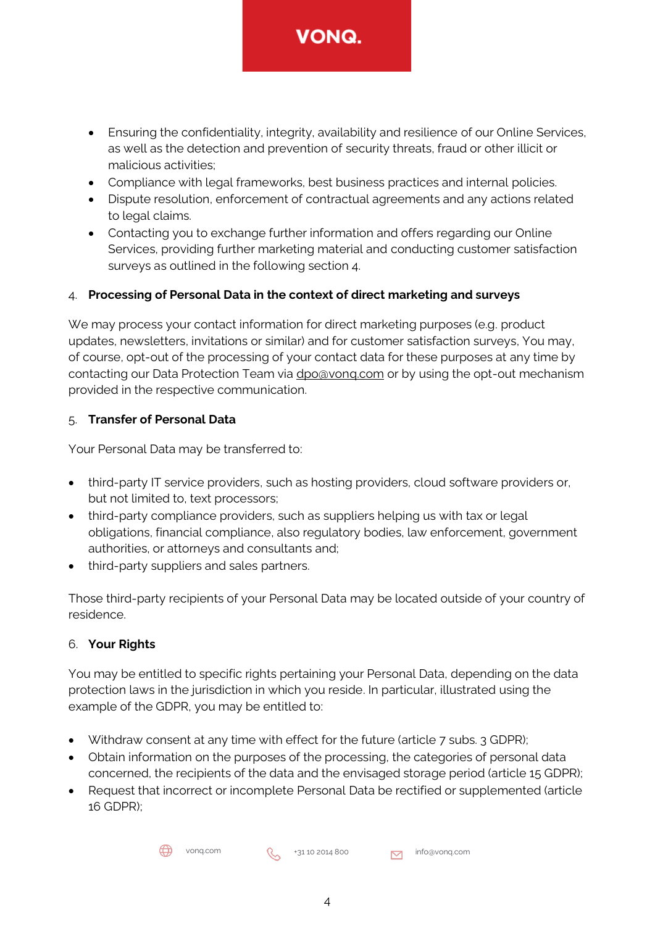- Ensuring the confidentiality, integrity, availability and resilience of our Online Services, as well as the detection and prevention of security threats, fraud or other illicit or malicious activities;
- Compliance with legal frameworks, best business practices and internal policies.
- Dispute resolution, enforcement of contractual agreements and any actions related to legal claims.
- Contacting you to exchange further information and offers regarding our Online Services, providing further marketing material and conducting customer satisfaction surveys as outlined in the following section 4.

# 4. **Processing of Personal Data in the context of direct marketing and surveys**

We may process your contact information for direct marketing purposes (e.g. product updates, newsletters, invitations or similar) and for customer satisfaction surveys, You may, of course, opt-out of the processing of your contact data for these purposes at any time by contacting our Data Protection Team via [dpo@vonq.com](mailto:dpo@vonq.com) or by using the opt-out mechanism provided in the respective communication.

# 5. **Transfer of Personal Data**

Your Personal Data may be transferred to:

- third-party IT service providers, such as hosting providers, cloud software providers or, but not limited to, text processors;
- third-party compliance providers, such as suppliers helping us with tax or legal obligations, financial compliance, also regulatory bodies, law enforcement, government authorities, or attorneys and consultants and;
- third-party suppliers and sales partners.

Those third-party recipients of your Personal Data may be located outside of your country of residence.

# 6. **Your Rights**

You may be entitled to specific rights pertaining your Personal Data, depending on the data protection laws in the jurisdiction in which you reside. In particular, illustrated using the example of the GDPR, you may be entitled to:

- Withdraw consent at any time with effect for the future (article 7 subs. 3 GDPR);
- Obtain information on the purposes of the processing, the categories of personal data concerned, the recipients of the data and the envisaged storage period (article 15 GDPR);
- Request that incorrect or incomplete Personal Data be rectified or supplemented (article 16 GDPR);

vonq.com  $\left\{\begin{matrix} 4 & 31 & 10 & 2014 & 800 \\ 1 & 31 & 10 & 2014 & 800 \end{matrix}\right\}$  info@vonq.com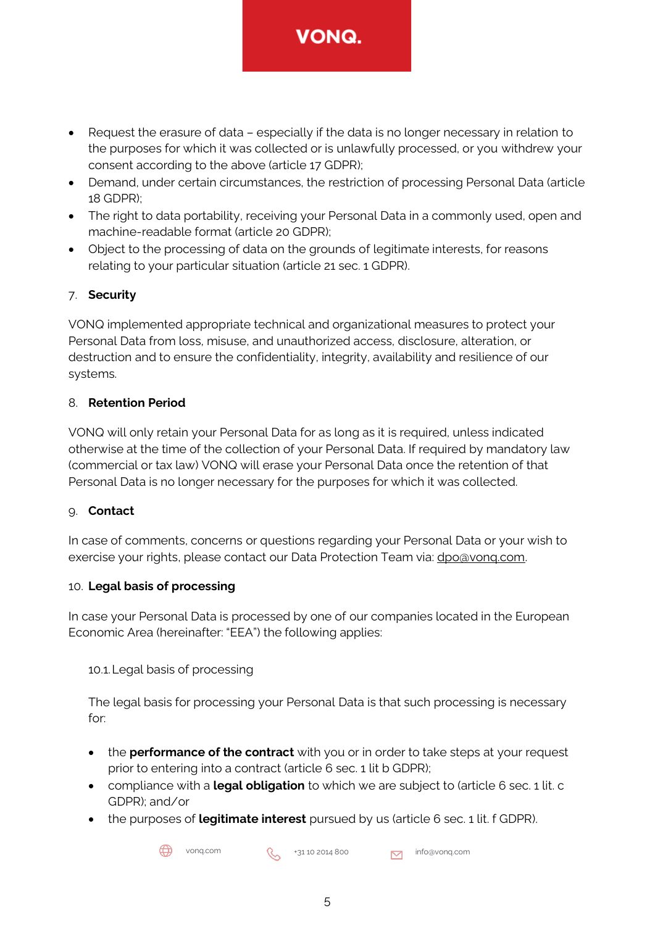- Request the erasure of data especially if the data is no longer necessary in relation to the purposes for which it was collected or is unlawfully processed, or you withdrew your consent according to the above (article 17 GDPR);
- Demand, under certain circumstances, the restriction of processing Personal Data (article 18 GDPR);
- The right to data portability, receiving your Personal Data in a commonly used, open and machine-readable format (article 20 GDPR);
- Object to the processing of data on the grounds of legitimate interests, for reasons relating to your particular situation (article 21 sec. 1 GDPR).

# 7. **Security**

VONQ implemented appropriate technical and organizational measures to protect your Personal Data from loss, misuse, and unauthorized access, disclosure, alteration, or destruction and to ensure the confidentiality, integrity, availability and resilience of our systems.

# 8. **Retention Period**

VONQ will only retain your Personal Data for as long as it is required, unless indicated otherwise at the time of the collection of your Personal Data. If required by mandatory law (commercial or tax law) VONQ will erase your Personal Data once the retention of that Personal Data is no longer necessary for the purposes for which it was collected.

# 9. **Contact**

In case of comments, concerns or questions regarding your Personal Data or your wish to exercise your rights, please contact our Data Protection Team via: [dpo@vonq.com.](mailto:dpo@vonq.com)

# 10. **Legal basis of processing**

In case your Personal Data is processed by one of our companies located in the European Economic Area (hereinafter: "EEA") the following applies:

10.1.Legal basis of processing

The legal basis for processing your Personal Data is that such processing is necessary for:

- the **performance of the contract** with you or in order to take steps at your request prior to entering into a contract (article 6 sec. 1 lit b GDPR);
- compliance with a **legal obligation** to which we are subject to (article 6 sec. 1 lit. c GDPR); and/or
- the purposes of **legitimate interest** pursued by us (article 6 sec. 1 lit. f GDPR).

 $\bigoplus$  vonq.com  $\bigotimes$  +31 10 2014 800  $\bigotimes$  info@vonq.com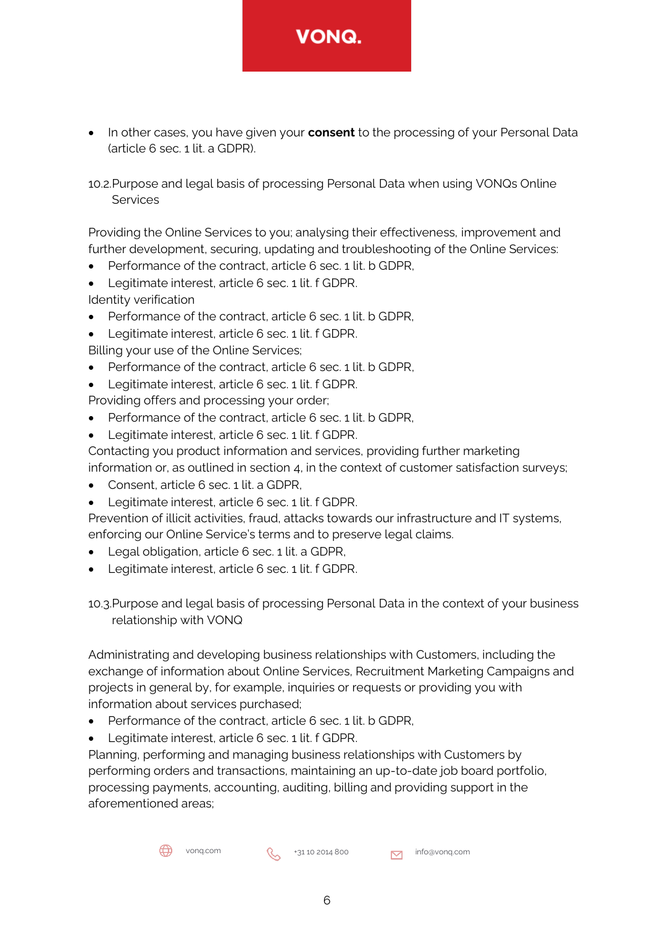

- In other cases, you have given your **consent** to the processing of your Personal Data (article 6 sec. 1 lit. a GDPR).
- 10.2.Purpose and legal basis of processing Personal Data when using VONQs Online Services

Providing the Online Services to you; analysing their effectiveness, improvement and further development, securing, updating and troubleshooting of the Online Services:

- Performance of the contract, article 6 sec. 1 lit. b GDPR,
- Legitimate interest, article 6 sec. 1 lit. f GDPR.

Identity verification

- Performance of the contract, article 6 sec. 1 lit. b GDPR,
- Legitimate interest, article 6 sec. 1 lit. f GDPR.

Billing your use of the Online Services;

- Performance of the contract, article 6 sec. 1 lit. b GDPR,
- Legitimate interest, article 6 sec. 1 lit. f GDPR.
- Providing offers and processing your order;
- Performance of the contract, article 6 sec. 1 lit. b GDPR,
- Legitimate interest, article 6 sec. 1 lit. f GDPR.

Contacting you product information and services, providing further marketing information or, as outlined in section 4, in the context of customer satisfaction surveys;

- Consent, article 6 sec. 1 lit. a GDPR,
- Legitimate interest, article 6 sec. 1 lit. f GDPR.

Prevention of illicit activities, fraud, attacks towards our infrastructure and IT systems, enforcing our Online Service's terms and to preserve legal claims.

- Legal obligation, article 6 sec. 1 lit. a GDPR,
- Legitimate interest, article 6 sec. 1 lit. f GDPR.

10.3.Purpose and legal basis of processing Personal Data in the context of your business relationship with VONQ

Administrating and developing business relationships with Customers, including the exchange of information about Online Services, Recruitment Marketing Campaigns and projects in general by, for example, inquiries or requests or providing you with information about services purchased;

- Performance of the contract, article 6 sec. 1 lit. b GDPR,
- Legitimate interest, article 6 sec. 1 lit. f GDPR.

Planning, performing and managing business relationships with Customers by performing orders and transactions, maintaining an up-to-date job board portfolio, processing payments, accounting, auditing, billing and providing support in the aforementioned areas;